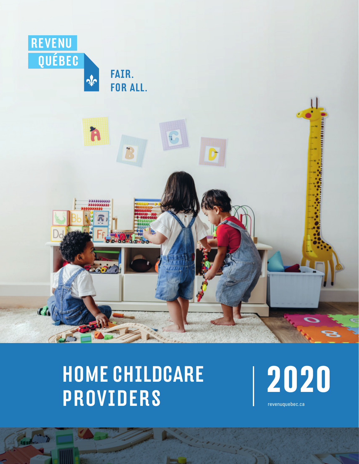



# HOME CHILDCARE PROVIDERS **[revenuquebec.ca](http://revenuquebec.ca)**

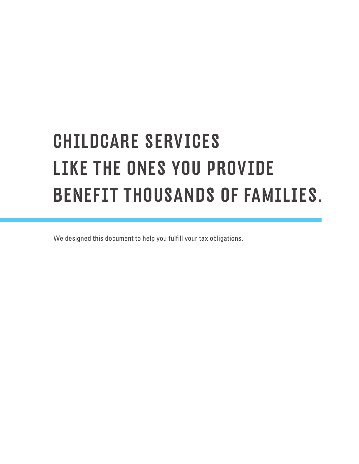# CHILDCARE SERVICES LIKE THE ONES YOU PROVIDE BENEFIT THOUSANDS OF FAMILIES.

We designed this document to help you fulfill your tax obligations.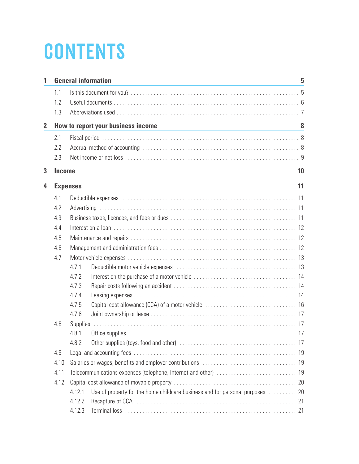# **CONTENTS**

| $\mathbf{1}$   | <b>General information</b>         |  |  |  |  |  |  |
|----------------|------------------------------------|--|--|--|--|--|--|
|                |                                    |  |  |  |  |  |  |
|                | 12                                 |  |  |  |  |  |  |
|                |                                    |  |  |  |  |  |  |
| 2 <sup>2</sup> | How to report your business income |  |  |  |  |  |  |
|                | 2.1                                |  |  |  |  |  |  |
|                | 2.2                                |  |  |  |  |  |  |
|                |                                    |  |  |  |  |  |  |
|                | Income                             |  |  |  |  |  |  |

## **4 [Expenses 11](#page-10-0)**

| 4.1  |          |                                                                               |  |  |  |  |  |
|------|----------|-------------------------------------------------------------------------------|--|--|--|--|--|
| 4.2  |          |                                                                               |  |  |  |  |  |
| 4.3  |          |                                                                               |  |  |  |  |  |
| 4.4  |          |                                                                               |  |  |  |  |  |
| 4.5  |          |                                                                               |  |  |  |  |  |
| 4.6  |          |                                                                               |  |  |  |  |  |
| 4.7  |          |                                                                               |  |  |  |  |  |
|      | 4.7.1    |                                                                               |  |  |  |  |  |
|      | 4.7.2    |                                                                               |  |  |  |  |  |
|      | 4.7.3    |                                                                               |  |  |  |  |  |
|      | 4.7.4    |                                                                               |  |  |  |  |  |
|      | 4.7.5    |                                                                               |  |  |  |  |  |
|      | 4.7.6    |                                                                               |  |  |  |  |  |
| 4.8  | Supplies |                                                                               |  |  |  |  |  |
|      | 4.8.1    |                                                                               |  |  |  |  |  |
|      | 4.8.2    |                                                                               |  |  |  |  |  |
| 4.9  |          |                                                                               |  |  |  |  |  |
| 4.10 |          |                                                                               |  |  |  |  |  |
| 4.11 |          |                                                                               |  |  |  |  |  |
| 4.12 |          |                                                                               |  |  |  |  |  |
|      | 4.12.1   | Use of property for the home childcare business and for personal purposes  20 |  |  |  |  |  |
|      | 4.12.2   |                                                                               |  |  |  |  |  |
|      | 4.12.3   |                                                                               |  |  |  |  |  |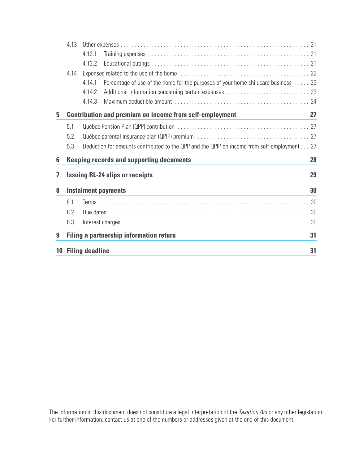|    | 4.13 |                                                                                              |    |
|----|------|----------------------------------------------------------------------------------------------|----|
|    |      | 4.13.1                                                                                       |    |
|    |      | 4.13.2                                                                                       |    |
|    | 4.14 |                                                                                              |    |
|    |      | Percentage of use of the home for the purposes of your home childcare business  23<br>4.14.1 |    |
|    |      | 4.14.2                                                                                       |    |
|    |      | 4.14.3                                                                                       |    |
| 5  |      | <b>Contribution and premium on income from self-employment</b>                               | 27 |
|    | 5.1  |                                                                                              |    |
|    | 5.2  |                                                                                              |    |
|    | 5.3  | Deduction for amounts contributed to the QPP and the QPIP on income from self-employment 27  |    |
| 6  |      | <b>Keeping records and supporting documents</b>                                              | 28 |
| 7  |      | <b>Issuing RL-24 slips or receipts</b>                                                       | 29 |
| 8  |      | <b>Instalment payments</b>                                                                   | 30 |
|    | 8.1  |                                                                                              |    |
|    | 8.2  |                                                                                              |    |
|    | 8.3  |                                                                                              |    |
| 9  |      | <b>Filing a partnership information return</b>                                               | 31 |
| 10 |      | <b>Filing deadline</b>                                                                       | 31 |

The information in this document does not constitute a legal interpretation of the *Taxation Act* or any other legislation. For further information, contact us at one of the numbers or addresses given at the end of this document.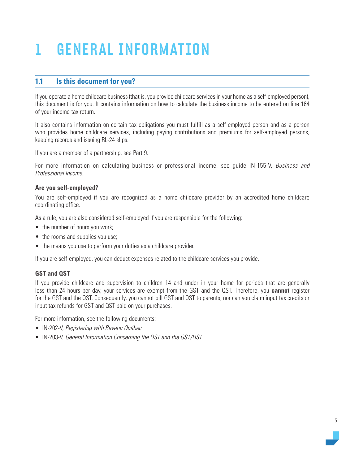## <span id="page-4-0"></span>1 GENERAL INFORMATION

## **1.1 Is this document for you?**

If you operate a home childcare business (that is, you provide childcare services in your home as a self-employed person), this document is for you. It contains information on how to calculate the business income to be entered on line 164 of your income tax return.

It also contains information on certain tax obligations you must fulfill as a self-employed person and as a person who provides home childcare services, including paying contributions and premiums for self-employed persons, keeping records and issuing RL-24 slips.

If you are a member of a partnership, see Part 9.

For more information on calculating business or professional income, see quide IN-155-V, Business and Professional Income.

#### **Are you self-employed?**

You are self-employed if you are recognized as a home childcare provider by an accredited home childcare coordinating office.

As a rule, you are also considered self-employed if you are responsible for the following:

- the number of hours you work:
- the rooms and supplies you use;
- the means you use to perform your duties as a childcare provider.

If you are self-employed, you can deduct expenses related to the childcare services you provide.

#### **GST and QST**

If you provide childcare and supervision to children 14 and under in your home for periods that are generally less than 24 hours per day, your services are exempt from the GST and the QST. Therefore, you **cannot** register for the GST and the QST. Consequently, you cannot bill GST and QST to parents, nor can you claim input tax credits or input tax refunds for GST and QST paid on your purchases.

For more information, see the following documents:

- IN-202-V, Registering with Revenu Québec
- IN-203-V, General Information Concerning the QST and the GST/HST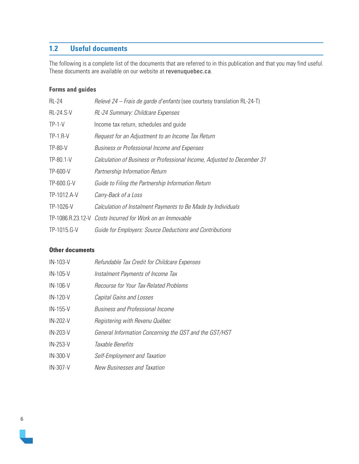## <span id="page-5-0"></span>**1.2 Useful documents**

The following is a complete list of the documents that are referred to in this publication and that you may find useful. These documents are available on our website at [revenuquebec.ca](https://www.revenuquebec.ca/en/).

#### **Forms and guides**

| <b>RL-24</b>     | <i>Relevé 24 – Frais de garde d'enfants</i> (see courtesy translation RL-24-T) |
|------------------|--------------------------------------------------------------------------------|
| <b>RL-24.S-V</b> | RL-24 Summary: Childcare Expenses                                              |
| $TP-1-V$         | Income tax return, schedules and guide                                         |
| $TP-1.R-V$       | Request for an Adjustment to an Income Tax Return                              |
| TP-80-V          | <b>Business or Professional Income and Expenses</b>                            |
| TP-80.1-V        | Calculation of Business or Professional Income, Adjusted to December 31        |
| TP-600-V         | Partnership Information Return                                                 |
| TP-600.G-V       | Guide to Filing the Partnership Information Return                             |
| TP-1012.A-V      | Carry-Back of a Loss                                                           |
| TP-1026-V        | Calculation of Instalment Payments to Be Made by Individuals                   |
|                  | TP-1086.R.23.12-V Costs Incurred for Work on an Immovable                      |
| TP-1015.G-V      | <b>Guide for Employers: Source Deductions and Contributions</b>                |

#### **Other documents**

| IN-103-V | Refundable Tax Credit for Childcare Expenses           |
|----------|--------------------------------------------------------|
| IN-105-V | Instalment Payments of Income Tax                      |
| IN-106-V | Recourse for Your Tax-Related Problems                 |
| IN-120-V | Capital Gains and Losses                               |
| IN-155-V | <b>Business and Professional Income</b>                |
| IN-202-V | Registering with Revenu Québec                         |
| IN-203-V | General Information Concerning the QST and the GST/HST |
| IN-253-V | Taxable Benefits                                       |
| IN-300-V | Self-Employment and Taxation                           |
| 111.2211 | Nou Dusingson and Tourion                              |

IN-307-V New Businesses and Taxation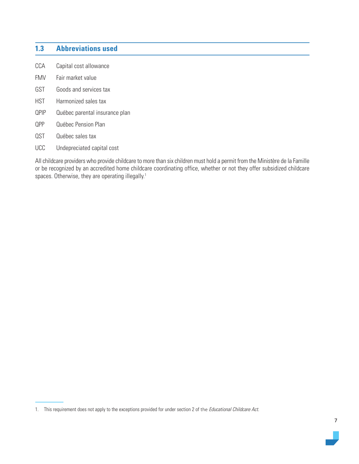## <span id="page-6-0"></span>**1.3 Abbreviations used**

- CCA Capital cost allowance
- FMV Fair market value
- GST Goods and services tax
- HST Harmonized sales tax
- QPIP Québec parental insurance plan
- QPP Québec Pension Plan
- QST Québec sales tax
- UCC Undepreciated capital cost

All childcare providers who provide childcare to more than six children must hold a permit from the Ministère de la Famille or be recognized by an accredited home childcare coordinating office, whether or not they offer subsidized childcare spaces. Otherwise, they are operating illegally.<sup>1</sup>

<sup>1.</sup> This requirement does not apply to the exceptions provided for under section 2 of the Educational Childcare Act.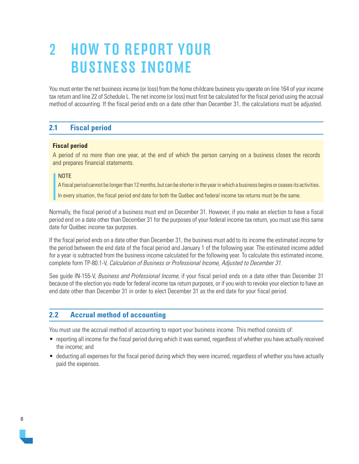## <span id="page-7-0"></span>2 HOW TO REPORT YOUR BUSINESS INCOME

You must enter the net business income (or loss) from the home childcare business you operate on line 164 of your income tax return and line 22 of Schedule L. The net income (or loss) must first be calculated for the fiscal period using the accrual method of accounting. If the fiscal period ends on a date other than December 31, the calculations must be adjusted.

## **2.1 Fiscal period**

#### **Fiscal period**

A period of no more than one year, at the end of which the person carrying on a business closes the records and prepares financial statements.

#### NOTE

A fiscal period cannot be longer than 12 months, but can be shorter in the year in which a business begins or ceases its activities.

In every situation, the fiscal period end date for both the Québec and federal income tax returns must be the same.

Normally, the fiscal period of a business must end on December 31. However, if you make an election to have a fiscal period end on a date other than December 31 for the purposes of your federal income tax return, you must use this same date for Québec income tax purposes.

If the fiscal period ends on a date other than December 31, the business must add to its income the estimated income for the period between the end date of the fiscal period and January 1 of the following year. The estimated income added for a year is subtracted from the business income calculated for the following year. To calculate this estimated income, complete form TP-80.1-V, Calculation of Business or Professional Income, Adjusted to December 31.

See quide IN-155-V, Business and Professional Income, if your fiscal period ends on a date other than December 31 because of the election you made for federal income tax return purposes, or if you wish to revoke your election to have an end date other than December 31 in order to elect December 31 as the end date for your fiscal period.

## **2.2 Accrual method of accounting**

You must use the accrual method of accounting to report your business income. This method consists of:

- reporting all income for the fiscal period during which it was earned, regardless of whether you have actually received the income; and
- deducting all expenses for the fiscal period during which they were incurred, regardless of whether you have actually paid the expenses.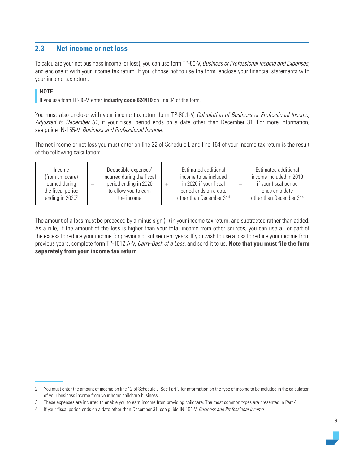## <span id="page-8-0"></span>**2.3 Net income or net loss**

To calculate your net business income (or loss), you can use form TP-80-V, Business or Professional Income and Expenses, and enclose it with your income tax return. If you choose not to use the form, enclose your financial statements with your income tax return.

#### NOTE

If you use form TP-80-V, enter **industry code 624410** on line 34 of the form.

You must also enclose with your income tax return form TP-80.1-V, Calculation of Business or Professional Income, Adjusted to December 31, if your fiscal period ends on a date other than December 31. For more information, see guide IN-155-V, Business and Professional Income.

The net income or net loss you must enter on line 22 of Schedule L and line 164 of your income tax return is the result of the following calculation:

| Income<br>(from childcare)<br>earned during<br>the fiscal period<br>ending in 2020 <sup>2</sup> | $\overline{\phantom{0}}$ | Deductible expenses <sup>3</sup><br>incurred during the fiscal<br>period ending in 2020<br>to allow you to earn<br>the income | $+$ | Estimated additional<br>income to be included<br>in 2020 if your fiscal<br>period ends on a date<br>other than December 314 |  | Estimated additional<br>income included in 2019<br>if your fiscal period<br>ends on a date<br>other than December 31 <sup>4</sup> |
|-------------------------------------------------------------------------------------------------|--------------------------|-------------------------------------------------------------------------------------------------------------------------------|-----|-----------------------------------------------------------------------------------------------------------------------------|--|-----------------------------------------------------------------------------------------------------------------------------------|
|-------------------------------------------------------------------------------------------------|--------------------------|-------------------------------------------------------------------------------------------------------------------------------|-----|-----------------------------------------------------------------------------------------------------------------------------|--|-----------------------------------------------------------------------------------------------------------------------------------|

The amount of a loss must be preceded by a minus sign (–) in your income tax return, and subtracted rather than added. As a rule, if the amount of the loss is higher than your total income from other sources, you can use all or part of the excess to reduce your income for previous or subsequent years. If you wish to use a loss to reduce your income from previous years, complete form TP-1012.A-V, Carry-Back of a Loss, and send it to us. **Note that you must file the form separately from your income tax return**.

<sup>2.</sup> You must enter the amount of income on line 12 of Schedule L. See Part 3 for information on the type of income to be included in the calculation of your business income from your home childcare business.

<sup>3.</sup> These expenses are incurred to enable you to earn income from providing childcare. The most common types are presented in Part 4.

<sup>4.</sup> If your fiscal period ends on a date other than December 31, see guide IN-155-V, Business and Professional Income.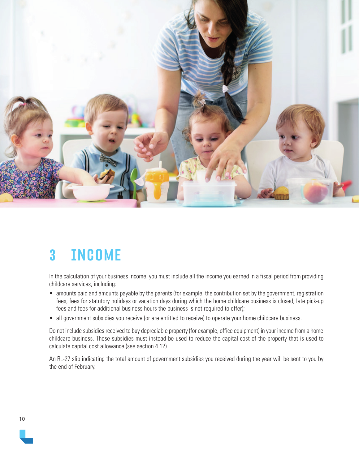<span id="page-9-0"></span>

## 3 INCOME

In the calculation of your business income, you must include all the income you earned in a fiscal period from providing childcare services, including:

- amounts paid and amounts payable by the parents (for example, the contribution set by the government, registration fees, fees for statutory holidays or vacation days during which the home childcare business is closed, late pick-up fees and fees for additional business hours the business is not required to offer);
- all government subsidies you receive (or are entitled to receive) to operate your home childcare business.

Do not include subsidies received to buy depreciable property (for example, office equipment) in your income from a home childcare business. These subsidies must instead be used to reduce the capital cost of the property that is used to calculate capital cost allowance (see section 4.12).

An RL-27 slip indicating the total amount of government subsidies you received during the year will be sent to you by the end of February.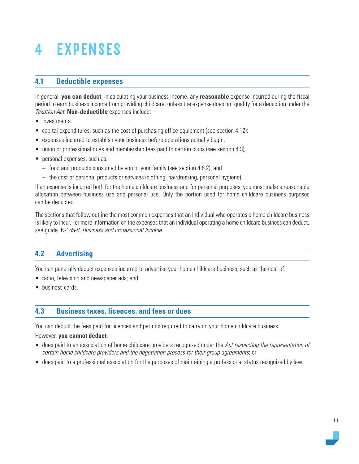## <span id="page-10-0"></span>4 EXPENSES

## **4.1 Deductible expenses**

In general, **you can deduct**, in calculating your business income, any **reasonable** expense incurred during the fiscal period to earn business income from providing childcare, unless the expense does not qualify for a deduction under the Taxation Act. **Non-deductible** expenses include:

- investments:
- capital expenditures, such as the cost of purchasing office equipment (see section 4.12);
- expenses incurred to establish your business before operations actually begin;
- union or professional dues and membership fees paid to certain clubs (see section 4.3);
- personal expenses, such as:
	- food and products consumed by you or your family (see section 4.8.2), and
	- the cost of personal products or services (clothing, hairdressing, personal hygiene).

If an expense is incurred both for the home childcare business and for personal purposes, you must make a reasonable allocation between business use and personal use. Only the portion used for home childcare business purposes can be deducted.

The sections that follow outline the most common expenses that an individual who operates a home childcare business is likely to incur. For more information on the expenses that an individual operating a home childcare business can deduct, see guide IN-155-V, Business and Professional Income.

## **4.2 Advertising**

You can generally deduct expenses incurred to advertise your home childcare business, such as the cost of:

- radio, television and newspaper ads; and
- business cards.

## **4.3 Business taxes, licences, and fees or dues**

You can deduct the fees paid for licences and permits required to carry on your home childcare business.

However, **you cannot deduct**:

- dues paid to an association of home childcare providers recognized under the Act respecting the representation of certain home childcare providers and the negotiation process for their group agreements; or
- dues paid to a professional association for the purposes of maintaining a professional status recognized by law.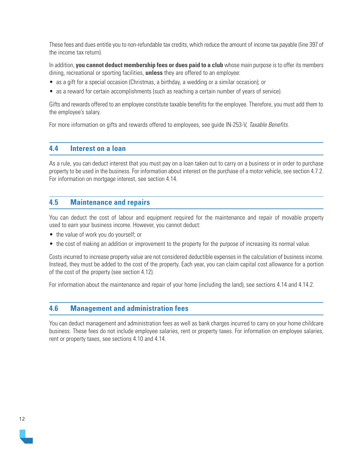<span id="page-11-0"></span>These fees and dues entitle you to non-refundable tax credits, which reduce the amount of income tax payable (line 397 of the income tax return).

In addition, **you cannot deduct membership fees or dues paid to a club** whose main purpose is to offer its members dining, recreational or sporting facilities, **unless** they are offered to an employee:

- as a gift for a special occasion (Christmas, a birthday, a wedding or a similar occasion); or
- as a reward for certain accomplishments (such as reaching a certain number of years of service).

Gifts and rewards offered to an employee constitute taxable benefits for the employee. Therefore, you must add them to the employee's salary.

For more information on gifts and rewards offered to employees, see quide IN-253-V, Taxable Benefits.

## **4.4 Interest on a loan**

As a rule, you can deduct interest that you must pay on a loan taken out to carry on a business or in order to purchase property to be used in the business. For information about interest on the purchase of a motor vehicle, see section 4.7.2. For information on mortgage interest, see section 4.14.

## **4.5 Maintenance and repairs**

You can deduct the cost of labour and equipment required for the maintenance and repair of movable property used to earn your business income. However, you cannot deduct:

- the value of work you do yourself; or
- the cost of making an addition or improvement to the property for the purpose of increasing its normal value.

Costs incurred to increase property value are not considered deductible expenses in the calculation of business income. Instead, they must be added to the cost of the property. Each year, you can claim capital cost allowance for a portion of the cost of the property (see section 4.12).

For information about the maintenance and repair of your home (including the land), see sections 4.14 and 4.14.2.

## **4.6 Management and administration fees**

You can deduct management and administration fees as well as bank charges incurred to carry on your home childcare business. These fees do not include employee salaries, rent or property taxes. For information on employee salaries, rent or property taxes, see sections 4.10 and 4.14.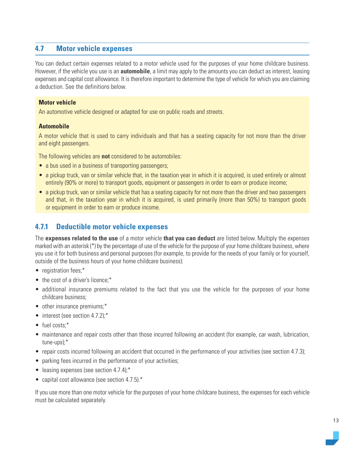## <span id="page-12-0"></span>**4.7 Motor vehicle expenses**

You can deduct certain expenses related to a motor vehicle used for the purposes of your home childcare business. However, if the vehicle you use is an **automobile**, a limit may apply to the amounts you can deduct as interest, leasing expenses and capital cost allowance. It is therefore important to determine the type of vehicle for which you are claiming a deduction. See the definitions below.

#### **Motor vehicle**

An automotive vehicle designed or adapted for use on public roads and streets.

#### **Automobile**

A motor vehicle that is used to carry individuals and that has a seating capacity for not more than the driver and eight passengers.

The following vehicles are **not** considered to be automobiles:

- a bus used in a business of transporting passengers;
- a pickup truck, van or similar vehicle that, in the taxation year in which it is acquired, is used entirely or almost entirely (90% or more) to transport goods, equipment or passengers in order to earn or produce income;
- a pickup truck, van or similar vehicle that has a seating capacity for not more than the driver and two passengers and that, in the taxation year in which it is acquired, is used primarily (more than 50%) to transport goods or equipment in order to earn or produce income.

## **4.7.1 Deductible motor vehicle expenses**

The **expenses related to the use** of a motor vehicle **that you can deduct** are listed below. Multiply the expenses marked with an asterisk (\*) by the percentage of use of the vehicle for the purpose of your home childcare business, where you use it for both business and personal purposes (for example, to provide for the needs of your family or for yourself, outside of the business hours of your home childcare business):

- registration fees;\*
- the cost of a driver's licence;\*
- additional insurance premiums related to the fact that you use the vehicle for the purposes of your home childcare business;
- other insurance premiums;\*
- interest (see section 4.7.2);\*
- fuel costs:\*
- maintenance and repair costs other than those incurred following an accident (for example, car wash, lubrication, tune-ups);\*
- repair costs incurred following an accident that occurred in the performance of your activities (see section 4.7.3);
- parking fees incurred in the performance of your activities;
- leasing expenses (see section 4.7.4);\*
- capital cost allowance (see section 4.7.5).\*

If you use more than one motor vehicle for the purposes of your home childcare business, the expenses for each vehicle must be calculated separately.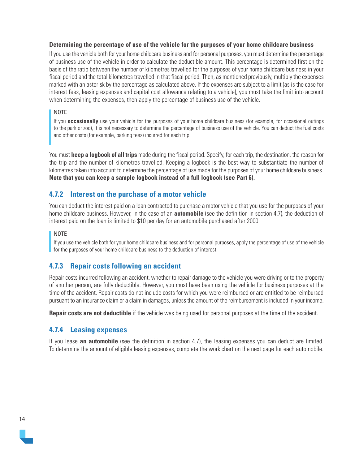#### <span id="page-13-0"></span>**Determining the percentage of use of the vehicle for the purposes of your home childcare business**

If you use the vehicle both for your home childcare business and for personal purposes, you must determine the percentage of business use of the vehicle in order to calculate the deductible amount. This percentage is determined first on the basis of the ratio between the number of kilometres travelled for the purposes of your home childcare business in your fiscal period and the total kilometres travelled in that fiscal period. Then, as mentioned previously, multiply the expenses marked with an asterisk by the percentage as calculated above. If the expenses are subject to a limit (as is the case for interest fees, leasing expenses and capital cost allowance relating to a vehicle), you must take the limit into account when determining the expenses, then apply the percentage of business use of the vehicle.

#### NOTE

If you **occasionally** use your vehicle for the purposes of your home childcare business (for example, for occasional outings to the park or zoo), it is not necessary to determine the percentage of business use of the vehicle. You can deduct the fuel costs and other costs (for example, parking fees) incurred for each trip.

You must **keep a logbook of all trips** made during the fiscal period. Specify, for each trip, the destination, the reason for the trip and the number of kilometres travelled. Keeping a logbook is the best way to substantiate the number of kilometres taken into account to determine the percentage of use made for the purposes of your home childcare business. **Note that you can keep a sample logbook instead of a full logbook (see Part 6).**

## **4.7.2 Interest on the purchase of a motor vehicle**

You can deduct the interest paid on a loan contracted to purchase a motor vehicle that you use for the purposes of your home childcare business. However, in the case of an **automobile** (see the definition in section 4.7), the deduction of interest paid on the loan is limited to \$10 per day for an automobile purchased after 2000.

#### NOTE

If you use the vehicle both for your home childcare business and for personal purposes, apply the percentage of use of the vehicle for the purposes of your home childcare business to the deduction of interest.

## **4.7.3 Repair costs following an accident**

Repair costs incurred following an accident, whether to repair damage to the vehicle you were driving or to the property of another person, are fully deductible. However, you must have been using the vehicle for business purposes at the time of the accident. Repair costs do not include costs for which you were reimbursed or are entitled to be reimbursed pursuant to an insurance claim or a claim in damages, unless the amount of the reimbursement is included in your income.

**Repair costs are not deductible** if the vehicle was being used for personal purposes at the time of the accident.

## **4.7.4 Leasing expenses**

If you lease **an automobile** (see the definition in section 4.7), the leasing expenses you can deduct are limited. To determine the amount of eligible leasing expenses, complete the work chart on the next page for each automobile.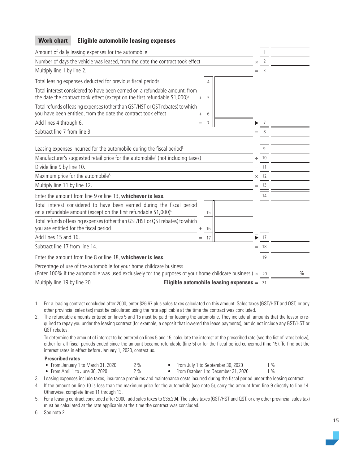#### **Work chart Eligible automobile leasing expenses**

| Amount of daily leasing expenses for the automobile <sup>1</sup>                                                                                                                       |        |    |  |          |    |               |
|----------------------------------------------------------------------------------------------------------------------------------------------------------------------------------------|--------|----|--|----------|----|---------------|
| Number of days the vehicle was leased, from the date the contract took effect                                                                                                          |        |    |  |          |    |               |
| Multiply line 1 by line 2.                                                                                                                                                             |        | 3  |  |          |    |               |
| Total leasing expenses deducted for previous fiscal periods                                                                                                                            |        | 4  |  |          |    |               |
| Total interest considered to have been earned on a refundable amount, from<br>the date the contract took effect (except on the first refundable \$1,000) <sup>2</sup>                  | $^{+}$ | 5  |  |          |    |               |
| Total refunds of leasing expenses (other than GST/HST or QST rebates) to which<br>you have been entitled, from the date the contract took effect                                       | $^{+}$ | 6  |  |          |    |               |
| Add lines 4 through 6.                                                                                                                                                                 | $=$    | 7  |  |          |    |               |
| Subtract line 7 from line 3.                                                                                                                                                           |        |    |  |          | 8  |               |
|                                                                                                                                                                                        |        |    |  |          |    |               |
| Leasing expenses incurred for the automobile during the fiscal period <sup>3</sup>                                                                                                     |        |    |  |          | 9  |               |
| Manufacturer's suggested retail price for the automobile <sup>4</sup> (not including taxes)                                                                                            |        |    |  | ÷        | 10 |               |
| Divide line 9 by line 10.                                                                                                                                                              |        |    |  | $=$      | 11 |               |
| Maximum price for the automobile <sup>5</sup>                                                                                                                                          |        |    |  | $\times$ | 12 |               |
| Multiply line 11 by line 12.                                                                                                                                                           |        |    |  | $=$      | 13 |               |
| Enter the amount from line 9 or line 13, whichever is less.                                                                                                                            |        |    |  |          | 14 |               |
| Total interest considered to have been earned during the fiscal period<br>on a refundable amount (except on the first refundable \$1,000) <sup>6</sup><br>15                           |        |    |  |          |    |               |
| Total refunds of leasing expenses (other than GST/HST or QST rebates) to which<br>you are entitled for the fiscal period                                                               |        |    |  |          |    |               |
| Add lines 15 and 16.                                                                                                                                                                   | $=$    | 17 |  | ь        | 17 |               |
| Subtract line 17 from line 14.                                                                                                                                                         |        |    |  |          |    |               |
| Enter the amount from line 8 or line 18, whichever is less.                                                                                                                            |        |    |  |          |    |               |
| Percentage of use of the automobile for your home childcare business<br>(Enter 100% if the automobile was used exclusively for the purposes of your home childcare business.) $\times$ |        |    |  |          |    | $\frac{0}{0}$ |
| Multiply line 19 by line 20.<br>Eligible automobile leasing expenses =                                                                                                                 |        |    |  |          |    |               |

- 1. For a leasing contract concluded after 2000, enter \$26.67 plus sales taxes calculated on this amount. Sales taxes (GST/HST and QST, or any other provincial sales tax) must be calculated using the rate applicable at the time the contract was concluded.
- 2. The refundable amounts entered on lines 5 and 15 must be paid for leasing the automobile. They include all amounts that the lessor is required to repay you under the leasing contract (for example, a deposit that lowered the lease payments), but do not include any GST/HST or QST rebates.

To determine the amount of interest to be entered on lines 5 and 15, calculate the interest at the prescribed rate (see the list of rates below), either for all fiscal periods ended since the amount became refundable (line 5) or for the fiscal period concerned (line 15). To find out the interest rates in effect before January 1, 2020, contact us.

#### **Prescribed rates**

- From January 1 to March 31, 2020 2 % From July 1 to September 30, 2020 1 %
- 

- From April 1 to June 30, 2020 2 % From October 1 to December 31, 2020 1 %
- 

3. Leasing expenses include taxes, insurance premiums and maintenance costs incurred during the fiscal period under the leasing contract.

- 4. If the amount on line 10 is less than the maximum price for the automobile (see note 5), carry the amount from line 9 directly to line 14. Otherwise, complete lines 11 through 13.
- 5. For a leasing contract concluded after 2000, add sales taxes to \$35,294. The sales taxes (GST/HST and QST, or any other provincial sales tax) must be calculated at the rate applicable at the time the contract was concluded.

6. See note 2.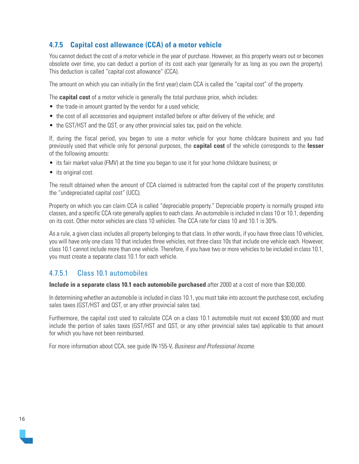## <span id="page-15-0"></span>**4.7.5 Capital cost allowance (CCA) of a motor vehicle**

You cannot deduct the cost of a motor vehicle in the year of purchase. However, as this property wears out or becomes obsolete over time, you can deduct a portion of its cost each year (generally for as long as you own the property). This deduction is called "capital cost allowance" (CCA).

The amount on which you can initially (in the first year) claim CCA is called the "capital cost" of the property.

The **capital cost** of a motor vehicle is generally the total purchase price, which includes:

- the trade-in amount granted by the vendor for a used vehicle;
- the cost of all accessories and equipment installed before or after delivery of the vehicle; and
- the GST/HST and the QST, or any other provincial sales tax, paid on the vehicle.

If, during the fiscal period, you began to use a motor vehicle for your home childcare business and you had previously used that vehicle only for personal purposes, the **capital cost** of the vehicle corresponds to the **lesser** of the following amounts:

- its fair market value (FMV) at the time you began to use it for your home childcare business; or
- its original cost.

The result obtained when the amount of CCA claimed is subtracted from the capital cost of the property constitutes the "undepreciated capital cost" (UCC).

Property on which you can claim CCA is called "depreciable property." Depreciable property is normally grouped into classes, and a specific CCA rate generally applies to each class. An automobile is included in class 10 or 10.1, depending on its cost. Other motor vehicles are class 10 vehicles. The CCA rate for class 10 and 10.1 is 30%.

As a rule, a given class includes all property belonging to that class. In other words, if you have three class 10 vehicles, you will have only one class 10 that includes three vehicles, not three class 10s that include one vehicle each. However, class 10.1 cannot include more than one vehicle. Therefore, if you have two or more vehicles to be included in class 10.1, you must create a separate class 10.1 for each vehicle.

## 4.7.5.1 Class 10.1 automobiles

**Include in a separate class 10.1 each automobile purchased** after 2000 at a cost of more than \$30,000.

In determining whether an automobile is included in class 10.1, you must take into account the purchase cost, excluding sales taxes (GST/HST and QST, or any other provincial sales tax).

Furthermore, the capital cost used to calculate CCA on a class 10.1 automobile must not exceed \$30,000 and must include the portion of sales taxes (GST/HST and QST, or any other provincial sales tax) applicable to that amount for which you have not been reimbursed.

For more information about CCA, see guide IN-155-V, Business and Professional Income.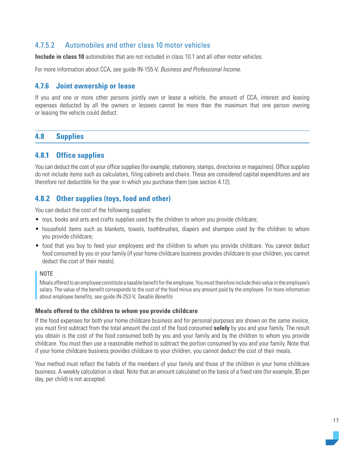## <span id="page-16-0"></span>4.7.5.2 Automobiles and other class 10 motor vehicles

**Include in class 10** automobiles that are not included in class 10.1 and all other motor vehicles.

For more information about CCA, see quide IN-155-V, *Business and Professional Income*.

## **4.7.6 Joint ownership or lease**

If you and one or more other persons jointly own or lease a vehicle, the amount of CCA, interest and leasing expenses deducted by all the owners or lessees cannot be more than the maximum that one person owning or leasing the vehicle could deduct.

## **4.8 Supplies**

## **4.8.1 Office supplies**

You can deduct the cost of your office supplies (for example, stationery, stamps, directories or magazines). Office supplies do not include items such as calculators, filing cabinets and chairs. These are considered capital expenditures and are therefore not deductible for the year in which you purchase them (see section 4.12).

## **4.8.2 Other supplies (toys, food and other)**

You can deduct the cost of the following supplies:

- toys, books and arts and crafts supplies used by the children to whom you provide childcare;
- household items such as blankets, towels, toothbrushes, diapers and shampoo used by the children to whom you provide childcare;
- food that you buy to feed your employees and the children to whom you provide childcare. You cannot deduct food consumed by you or your family (if your home childcare business provides childcare to your children, you cannot deduct the cost of their meals).

#### NOTE

Meals offered to an employee constitute a taxable benefit for the employee. You must therefore include their value in the employee's salary. The value of the benefit corresponds to the cost of the food minus any amount paid by the employee. For more information about employee benefits, see guide IN-253-V, Taxable Benefits.

#### **Meals offered to the children to whom you provide childcare**

If the food expenses for both your home childcare business and for personal purposes are shown on the same invoice, you must first subtract from the total amount the cost of the food consumed **solely** by you and your family. The result you obtain is the cost of the food consumed both by you and your family and by the children to whom you provide childcare. You must then use a reasonable method to subtract the portion consumed by you and your family. Note that if your home childcare business provides childcare to your children, you cannot deduct the cost of their meals.

Your method must reflect the habits of the members of your family and those of the children in your home childcare business. A weekly calculation is ideal. Note that an amount calculated on the basis of a fixed rate (for example, \$5 per day, per child) is not accepted.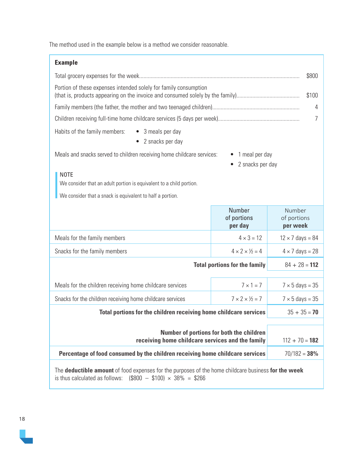The method used in the example below is a method we consider reasonable.

| <b>Example</b>                                                                                                                                                                     |                                      |                                   |  |  |  |  |
|------------------------------------------------------------------------------------------------------------------------------------------------------------------------------------|--------------------------------------|-----------------------------------|--|--|--|--|
| \$800                                                                                                                                                                              |                                      |                                   |  |  |  |  |
| Portion of these expenses intended solely for family consumption<br>\$100                                                                                                          |                                      |                                   |  |  |  |  |
|                                                                                                                                                                                    |                                      | 4                                 |  |  |  |  |
|                                                                                                                                                                                    |                                      | 7                                 |  |  |  |  |
| Habits of the family members:<br>• 3 meals per day<br>2 snacks per day                                                                                                             |                                      |                                   |  |  |  |  |
| Meals and snacks served to children receiving home childcare services:<br>1 meal per day<br>2 snacks per day<br><b>NOTE</b>                                                        |                                      |                                   |  |  |  |  |
| We consider that an adult portion is equivalent to a child portion.                                                                                                                |                                      |                                   |  |  |  |  |
| We consider that a snack is equivalent to half a portion.                                                                                                                          |                                      |                                   |  |  |  |  |
|                                                                                                                                                                                    | Number<br>of portions<br>per day     | Number<br>of portions<br>per week |  |  |  |  |
| Meals for the family members                                                                                                                                                       | $4 \times 3 = 12$                    | $12 \times 7$ days = 84           |  |  |  |  |
| Snacks for the family members                                                                                                                                                      | $4 \times 2 \times \frac{1}{2} = 4$  | $4 \times 7$ days = 28            |  |  |  |  |
|                                                                                                                                                                                    | <b>Total portions for the family</b> | $84 + 28 = 112$                   |  |  |  |  |
| Meals for the children receiving home childcare services                                                                                                                           | $7 \times 1 = 7$                     | $7 \times 5$ days = 35            |  |  |  |  |
| Snacks for the children receiving home childcare services                                                                                                                          | $7 \times 2 \times \frac{1}{2} = 7$  | $7 \times 5$ days = 35            |  |  |  |  |
| Total portions for the children receiving home childcare services                                                                                                                  |                                      | $35 + 35 = 70$                    |  |  |  |  |
| Number of portions for both the children<br>receiving home childcare services and the family<br>$112 + 70 = 182$                                                                   |                                      |                                   |  |  |  |  |
| Percentage of food consumed by the children receiving home childcare services                                                                                                      |                                      | $70/182 = 38\%$                   |  |  |  |  |
| The <b>deductible amount</b> of food expenses for the purposes of the home childcare business for the week<br>is thus calculated as follows:<br>$($800 - $100) \times 38\% = $266$ |                                      |                                   |  |  |  |  |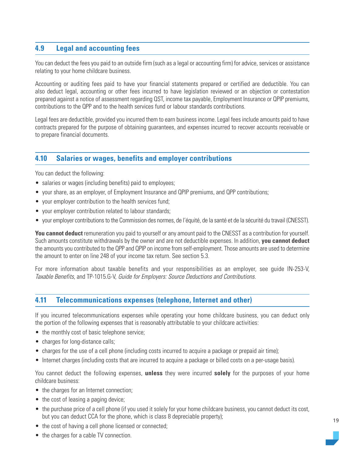## <span id="page-18-0"></span>**4.9 Legal and accounting fees**

You can deduct the fees you paid to an outside firm (such as a legal or accounting firm) for advice, services or assistance relating to your home childcare business.

Accounting or auditing fees paid to have your financial statements prepared or certified are deductible. You can also deduct legal, accounting or other fees incurred to have legislation reviewed or an objection or contestation prepared against a notice of assessment regarding QST, income tax payable, Employment Insurance or QPIP premiums, contributions to the QPP and to the health services fund or labour standards contributions.

Legal fees are deductible, provided you incurred them to earn business income. Legal fees include amounts paid to have contracts prepared for the purpose of obtaining guarantees, and expenses incurred to recover accounts receivable or to prepare financial documents.

## **4.10 Salaries or wages, benefits and employer contributions**

You can deduct the following:

- salaries or wages (including benefits) paid to employees;
- your share, as an employer, of Employment Insurance and QPIP premiums, and QPP contributions;
- your employer contribution to the health services fund;
- your employer contribution related to labour standards;
- your employer contributions to the Commission des normes, de l'équité, de la santé et de la sécurité du travail (CNESST).

**You cannot deduct** remuneration you paid to yourself or any amount paid to the CNESST as a contribution for yourself. Such amounts constitute withdrawals by the owner and are not deductible expenses. In addition, **you cannot deduct** the amounts you contributed to the QPP and QPIP on income from self-employment. Those amounts are used to determine the amount to enter on line 248 of your income tax return. See section 5.3.

For more information about taxable benefits and your responsibilities as an employer, see guide IN-253-V, Taxable Benefits, and TP-1015.G-V, Guide for Employers: Source Deductions and Contributions.

## **4.11 Telecommunications expenses (telephone, Internet and other)**

If you incurred telecommunications expenses while operating your home childcare business, you can deduct only the portion of the following expenses that is reasonably attributable to your childcare activities:

- the monthly cost of basic telephone service;
- charges for long-distance calls;
- charges for the use of a cell phone (including costs incurred to acquire a package or prepaid air time);
- Internet charges (including costs that are incurred to acquire a package or billed costs on a per-usage basis).

You cannot deduct the following expenses, **unless** they were incurred **solely** for the purposes of your home childcare business:

- the charges for an Internet connection;
- the cost of leasing a paging device;
- the purchase price of a cell phone (if you used it solely for your home childcare business, you cannot deduct its cost, but you can deduct CCA for the phone, which is class 8 depreciable property);
- the cost of having a cell phone licensed or connected;
- the charges for a cable TV connection.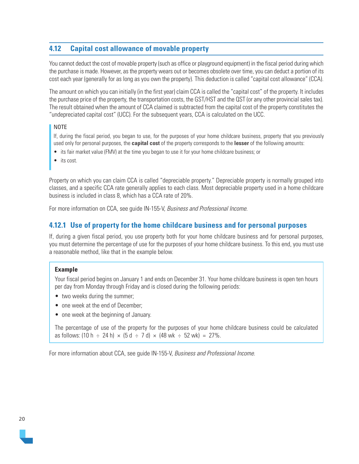## <span id="page-19-0"></span>**4.12 Capital cost allowance of movable property**

You cannot deduct the cost of movable property (such as office or playground equipment) in the fiscal period during which the purchase is made. However, as the property wears out or becomes obsolete over time, you can deduct a portion of its cost each year (generally for as long as you own the property). This deduction is called "capital cost allowance" (CCA).

The amount on which you can initially (in the first year) claim CCA is called the "capital cost" of the property. It includes the purchase price of the property, the transportation costs, the GST/HST and the QST (or any other provincial sales tax). The result obtained when the amount of CCA claimed is subtracted from the capital cost of the property constitutes the "undepreciated capital cost" (UCC). For the subsequent years, CCA is calculated on the UCC.

#### NOTE

If, during the fiscal period, you began to use, for the purposes of your home childcare business, property that you previously used only for personal purposes, the **capital cost** of the property corresponds to the **lesser** of the following amounts:

- its fair market value (FMV) at the time you began to use it for your home childcare business; or
- its cost.

Property on which you can claim CCA is called "depreciable property." Depreciable property is normally grouped into classes, and a specific CCA rate generally applies to each class. Most depreciable property used in a home childcare business is included in class 8, which has a CCA rate of 20%.

For more information on CCA, see guide IN-155-V, Business and Professional Income.

## **4.12.1 Use of property for the home childcare business and for personal purposes**

If, during a given fiscal period, you use property both for your home childcare business and for personal purposes, you must determine the percentage of use for the purposes of your home childcare business. To this end, you must use a reasonable method, like that in the example below.

#### **Example**

Your fiscal period begins on January 1 and ends on December 31. Your home childcare business is open ten hours per day from Monday through Friday and is closed during the following periods:

- two weeks during the summer;
- one week at the end of December;
- one week at the beginning of January.

The percentage of use of the property for the purposes of your home childcare business could be calculated as follows:  $(10 h \div 24 h) \times (5 d \div 7 d) \times (48 w k \div 52 w k) = 27\%$ .

For more information about CCA, see guide IN-155-V, Business and Professional Income.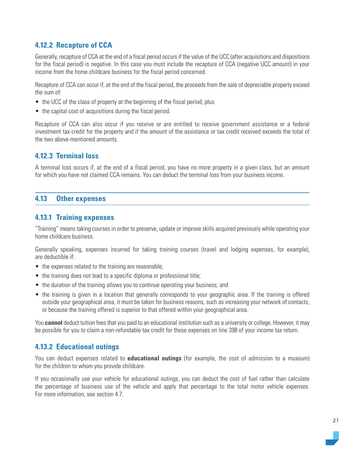## <span id="page-20-0"></span>**4.12.2 Recapture of CCA**

Generally, recapture of CCA at the end of a fiscal period occurs if the value of the UCC (after acquisitions and dispositions for the fiscal period) is negative. In this case you must include the recapture of CCA (negative UCC amount) in your income from the home childcare business for the fiscal period concerned.

Recapture of CCA can occur if, at the end of the fiscal period, the proceeds from the sale of depreciable property exceed the sum of:

- the UCC of the class of property at the beginning of the fiscal period; plus
- the capital cost of acquisitions during the fiscal period.

Recapture of CCA can also occur if you receive or are entitled to receive government assistance or a federal investment tax credit for the property and if the amount of the assistance or tax credit received exceeds the total of the two above-mentioned amounts.

## **4.12.3 Terminal loss**

A terminal loss occurs if, at the end of a fiscal period, you have no more property in a given class, but an amount for which you have not claimed CCA remains. You can deduct the terminal loss from your business income.

#### **4.13 Other expenses**

#### **4.13.1 Training expenses**

"Training" means taking courses in order to preserve, update or improve skills acquired previously while operating your home childcare business.

Generally speaking, expenses incurred for taking training courses (travel and lodging expenses, for example), are deductible if:

- the expenses related to the training are reasonable;
- the training does not lead to a specific diploma or professional title;
- the duration of the training allows you to continue operating your business; and
- the training is given in a location that generally corresponds to your geographic area. If the training is offered outside your geographical area, it must be taken for business reasons, such as increasing your network of contacts, or because the training offered is superior to that offered within your geographical area.

You **cannot** deduct tuition fees that you paid to an educational institution such as a university or college. However, it may be possible for you to claim a non-refundable tax credit for these expenses on line 398 of your income tax return.

#### **4.13.2 Educational outings**

You can deduct expenses related to **educational outings** (for example, the cost of admission to a museum) for the children to whom you provide childcare.

If you occasionally use your vehicle for educational outings, you can deduct the cost of fuel rather than calculate the percentage of business use of the vehicle and apply that percentage to the total motor vehicle expenses. For more information, see section 4.7.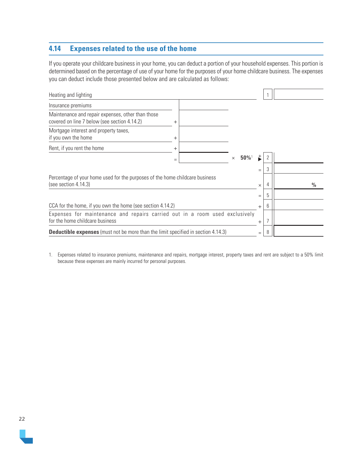## <span id="page-21-0"></span>**4.14 Expenses related to the use of the home**

If you operate your childcare business in your home, you can deduct a portion of your household expenses. This portion is determined based on the percentage of use of your home for the purposes of your home childcare business. The expenses you can deduct include those presented below and are calculated as follows:

| Heating and lighting                                                                                             |        |   |          |                     |     |   |               |
|------------------------------------------------------------------------------------------------------------------|--------|---|----------|---------------------|-----|---|---------------|
| Insurance premiums                                                                                               |        |   |          |                     |     |   |               |
| Maintenance and repair expenses, other than those<br>covered on line 7 below (see section 4.14.2)                | $^{+}$ |   |          |                     |     |   |               |
| Mortgage interest and property taxes,<br>if you own the home                                                     | $^+$   |   |          |                     |     |   |               |
| Rent, if you rent the home                                                                                       | $^+$   |   |          |                     |     |   |               |
|                                                                                                                  | $=$    |   | $\times$ | $50\%$ <sup>1</sup> | ⇟   |   |               |
|                                                                                                                  |        |   |          |                     | $=$ | 3 |               |
| Percentage of your home used for the purposes of the home childcare business<br>(see section 4.14.3)<br>$\times$ |        |   |          |                     |     |   | $\frac{0}{0}$ |
|                                                                                                                  |        |   |          |                     | $=$ | 5 |               |
| CCA for the home, if you own the home (see section 4.14.2)                                                       |        |   |          |                     |     |   |               |
| Expenses for maintenance and repairs carried out in a room used exclusively<br>for the home childcare business   |        |   |          |                     |     |   |               |
| <b>Deductible expenses</b> (must not be more than the limit specified in section 4.14.3)                         | $=$    | 8 |          |                     |     |   |               |

1. Expenses related to insurance premiums, maintenance and repairs, mortgage interest, property taxes and rent are subject to a 50% limit because these expenses are mainly incurred for personal purposes.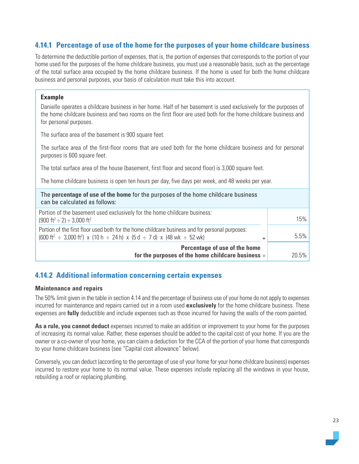## <span id="page-22-0"></span>**4.14.1 Percentage of use of the home for the purposes of your home childcare business**

To determine the deductible portion of expenses, that is, the portion of expenses that corresponds to the portion of your home used for the purposes of the home childcare business, you must use a reasonable basis, such as the percentage of the total surface area occupied by the home childcare business. If the home is used for both the home childcare business and personal purposes, your basis of calculation must take this into account.

#### **Example**

Danielle operates a childcare business in her home. Half of her basement is used exclusively for the purposes of the home childcare business and two rooms on the first floor are used both for the home childcare business and for personal purposes.

The surface area of the basement is 900 square feet.

The surface area of the first-floor rooms that are used both for the home childcare business and for personal purposes is 600 square feet.

The total surface area of the house (basement, first floor and second floor) is 3,000 square feet.

The home childcare business is open ten hours per day, five days per week, and 48 weeks per year.

| The percentage of use of the home for the purposes of the home childcare business<br>can be calculated as follows:                                                                                                                                                             |       |
|--------------------------------------------------------------------------------------------------------------------------------------------------------------------------------------------------------------------------------------------------------------------------------|-------|
| Portion of the basement used exclusively for the home childcare business:<br>$(900 \text{ ft}^2 \div 2) \div 3,000 \text{ ft}^2$                                                                                                                                               | 15%   |
| Portion of the first floor used both for the home childcare business and for personal purposes:<br>$(600 \text{ ft}^2 \div 3,000 \text{ ft}^2)$ x $(10 \text{ h} \div 24 \text{ h})$ x $(5 \text{ d} \div 7 \text{ d})$ x $(48 \text{ wk} \div 52 \text{ wk})$<br>$\mathrm{+}$ | 5.5%  |
| Percentage of use of the home<br>for the purposes of the home childcare business $=$                                                                                                                                                                                           | 20.5% |

## **4.14.2 Additional information concerning certain expenses**

#### **Maintenance and repairs**

The 50% limit given in the table in section 4.14 and the percentage of business use of your home do not apply to expenses incurred for maintenance and repairs carried out in a room used **exclusively** for the home childcare business. These expenses are **fully** deductible and include expenses such as those incurred for having the walls of the room painted.

**As a rule, you cannot deduct** expenses incurred to make an addition or improvement to your home for the purposes of increasing its normal value. Rather, these expenses should be added to the capital cost of your home. If you are the owner or a co-owner of your home, you can claim a deduction for the CCA of the portion of your home that corresponds to your home childcare business (see "Capital cost allowance" below).

Conversely, you can deduct (according to the percentage of use of your home for your home childcare business) expenses incurred to restore your home to its normal value. These expenses include replacing all the windows in your house, rebuilding a roof or replacing plumbing.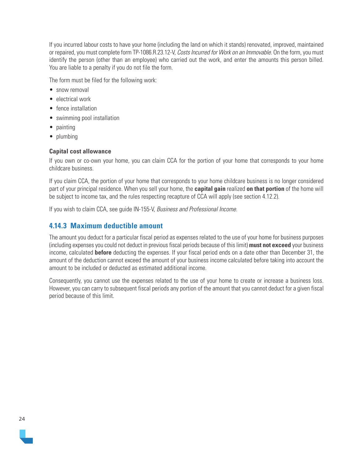<span id="page-23-0"></span>If you incurred labour costs to have your home (including the land on which it stands) renovated, improved, maintained or repaired, you must complete form TP-1086.R.23.12-V, Costs Incurred for Work on an Immovable. On the form, you must identify the person (other than an employee) who carried out the work, and enter the amounts this person billed. You are liable to a penalty if you do not file the form.

The form must be filed for the following work:

- snow removal
- electrical work
- fence installation
- swimming pool installation
- painting
- plumbing

#### **Capital cost allowance**

If you own or co-own your home, you can claim CCA for the portion of your home that corresponds to your home childcare business.

If you claim CCA, the portion of your home that corresponds to your home childcare business is no longer considered part of your principal residence. When you sell your home, the **capital gain** realized **on that portion** of the home will be subject to income tax, and the rules respecting recapture of CCA will apply (see section 4.12.2).

If you wish to claim CCA, see guide IN-155-V, Business and Professional Income.

## **4.14.3 Maximum deductible amount**

The amount you deduct for a particular fiscal period as expenses related to the use of your home for business purposes (including expenses you could not deduct in previous fiscal periods because of this limit) **must not exceed** your business income, calculated **before** deducting the expenses. If your fiscal period ends on a date other than December 31, the amount of the deduction cannot exceed the amount of your business income calculated before taking into account the amount to be included or deducted as estimated additional income.

Consequently, you cannot use the expenses related to the use of your home to create or increase a business loss. However, you can carry to subsequent fiscal periods any portion of the amount that you cannot deduct for a given fiscal period because of this limit.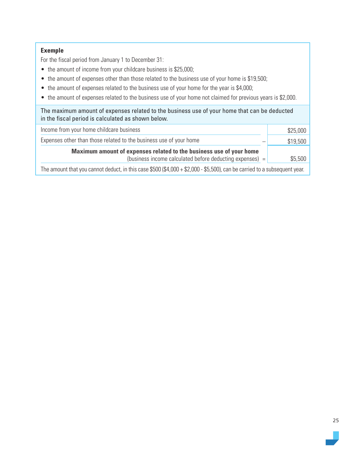#### **Exemple**

For the fiscal period from January 1 to December 31:

- the amount of income from your childcare business is \$25,000;
- the amount of expenses other than those related to the business use of your home is \$19,500;
- the amount of expenses related to the business use of your home for the year is \$4,000;
- the amount of expenses related to the business use of your home not claimed for previous years is \$2,000.

#### The maximum amount of expenses related to the business use of your home that can be deducted in the fiscal period is calculated as shown below.

| Income from your home childcare business                                                                                        | \$25,000 |  |  |  |  |  |
|---------------------------------------------------------------------------------------------------------------------------------|----------|--|--|--|--|--|
| Expenses other than those related to the business use of your home                                                              | \$19,500 |  |  |  |  |  |
| Maximum amount of expenses related to the business use of your home<br>(business income calculated before deducting expenses) = | \$5,500  |  |  |  |  |  |
| The amount that you cannot deduct, in this case \$500 (\$4,000 + \$2,000 - \$5,500), can be carried to a subsequent year.       |          |  |  |  |  |  |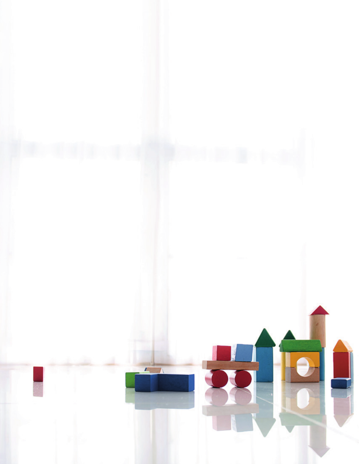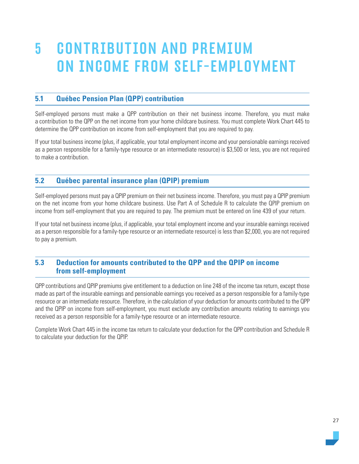## <span id="page-26-0"></span>5 CONTRIBUTION AND PREMIUM ON INCOME FROM SELF-EMPLOYMENT

## **5.1 Québec Pension Plan (QPP) contribution**

Self-employed persons must make a QPP contribution on their net business income. Therefore, you must make a contribution to the QPP on the net income from your home childcare business. You must complete Work Chart 445 to determine the QPP contribution on income from self-employment that you are required to pay.

If your total business income (plus, if applicable, your total employment income and your pensionable earnings received as a person responsible for a family-type resource or an intermediate resource) is \$3,500 or less, you are not required to make a contribution.

## **5.2 Québec parental insurance plan (QPIP) premium**

Self-employed persons must pay a QPIP premium on their net business income. Therefore, you must pay a QPIP premium on the net income from your home childcare business. Use Part A of Schedule R to calculate the QPIP premium on income from self-employment that you are required to pay. The premium must be entered on line 439 of your return.

If your total net business income (plus, if applicable, your total employment income and your insurable earnings received as a person responsible for a family-type resource or an intermediate resource) is less than \$2,000, you are not required to pay a premium.

## **5.3 Deduction for amounts contributed to the QPP and the QPIP on income from self-employment**

QPP contributions and QPIP premiums give entitlement to a deduction on line 248 of the income tax return, except those made as part of the insurable earnings and pensionable earnings you received as a person responsible for a family-type resource or an intermediate resource. Therefore, in the calculation of your deduction for amounts contributed to the QPP and the QPIP on income from self-employment, you must exclude any contribution amounts relating to earnings you received as a person responsible for a family-type resource or an intermediate resource.

Complete Work Chart 445 in the income tax return to calculate your deduction for the QPP contribution and Schedule R to calculate your deduction for the QPIP.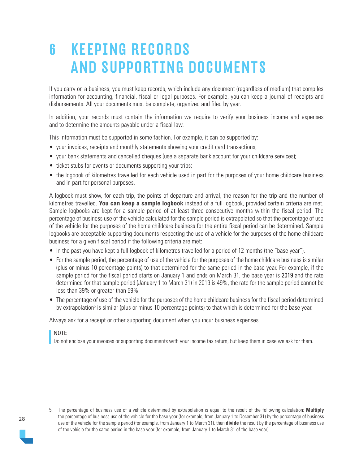## <span id="page-27-0"></span>6 KEEPING RECORDS AND SUPPORTING DOCUMENTS

If you carry on a business, you must keep records, which include any document (regardless of medium) that compiles information for accounting, financial, fiscal or legal purposes. For example, you can keep a journal of receipts and disbursements. All your documents must be complete, organized and filed by year.

In addition, your records must contain the information we require to verify your business income and expenses and to determine the amounts payable under a fiscal law.

This information must be supported in some fashion. For example, it can be supported by:

- your invoices, receipts and monthly statements showing your credit card transactions;
- your bank statements and cancelled cheques (use a separate bank account for your childcare services);
- ticket stubs for events or documents supporting your trips;
- the logbook of kilometres travelled for each vehicle used in part for the purposes of your home childcare business and in part for personal purposes.

A logbook must show, for each trip, the points of departure and arrival, the reason for the trip and the number of kilometres travelled. **You can keep a sample logbook** instead of a full logbook, provided certain criteria are met. Sample logbooks are kept for a sample period of at least three consecutive months within the fiscal period. The percentage of business use of the vehicle calculated for the sample period is extrapolated so that the percentage of use of the vehicle for the purposes of the home childcare business for the entire fiscal period can be determined. Sample logbooks are acceptable supporting documents respecting the use of a vehicle for the purposes of the home childcare business for a given fiscal period if the following criteria are met:

- In the past you have kept a full logbook of kilometres travelled for a period of 12 months (the "base year").
- For the sample period, the percentage of use of the vehicle for the purposes of the home childcare business is similar (plus or minus 10 percentage points) to that determined for the same period in the base year. For example, if the sample period for the fiscal period starts on January 1 and ends on March 31, the base year is 2019 and the rate determined for that sample period (January 1 to March 31) in 2019 is 49%, the rate for the sample period cannot be less than 39% or greater than 59%.
- The percentage of use of the vehicle for the purposes of the home childcare business for the fiscal period determined by extrapolation<sup>5</sup> is similar (plus or minus 10 percentage points) to that which is determined for the base year.

Always ask for a receipt or other supporting document when you incur business expenses.

#### NOTE

Do not enclose your invoices or supporting documents with your income tax return, but keep them in case we ask for them.

<sup>28</sup>

<sup>5.</sup> The percentage of business use of a vehicle determined by extrapolation is equal to the result of the following calculation: **Multiply** the percentage of business use of the vehicle for the base year (for example, from January 1 to December 31) by the percentage of business use of the vehicle for the sample period (for example, from January 1 to March 31), then **divide** the result by the percentage of business use of the vehicle for the same period in the base year (for example, from January 1 to March 31 of the base year).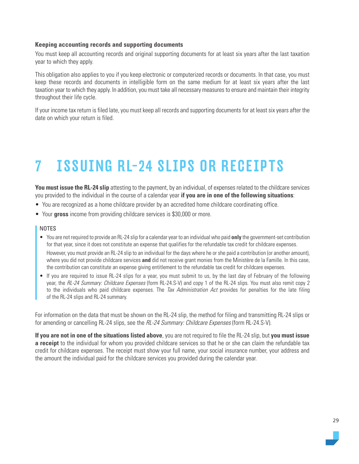#### <span id="page-28-0"></span>**Keeping accounting records and supporting documents**

You must keep all accounting records and original supporting documents for at least six years after the last taxation year to which they apply.

This obligation also applies to you if you keep electronic or computerized records or documents. In that case, you must keep these records and documents in intelligible form on the same medium for at least six years after the last taxation year to which they apply. In addition, you must take all necessary measures to ensure and maintain their integrity throughout their life cycle.

If your income tax return is filed late, you must keep all records and supporting documents for at least six years after the date on which your return is filed.

## 7 ISSUING RL-24 SLIPS OR RECEIPTS

**You must issue the RL-24 slip** attesting to the payment, by an individual, of expenses related to the childcare services you provided to the individual in the course of a calendar year **if you are in one of the following situations**:

- You are recognized as a home childcare provider by an accredited home childcare coordinating office.
- Your **gross** income from providing childcare services is \$30,000 or more.

#### NOTES

- You are not required to provide an RL-24 slip for a calendar year to an individual who paid **only** the government-set contribution for that year, since it does not constitute an expense that qualifies for the refundable tax credit for childcare expenses. However, you must provide an RL-24 slip to an individual for the days where he or she paid a contribution (or another amount), where you did not provide childcare services **and** did not receive grant monies from the Ministère de la Famille. In this case, the contribution can constitute an expense giving entitlement to the refundable tax credit for childcare expenses.
- If you are required to issue RL-24 slips for a year, you must submit to us, by the last day of February of the following year, the RL-24 Summary: Childcare Expenses (form RL-24.S-V) and copy 1 of the RL-24 slips. You must also remit copy 2 to the individuals who paid childcare expenses. The Tax Administration Act provides for penalties for the late filing of the RL-24 slips and RL-24 summary.

For information on the data that must be shown on the RL-24 slip, the method for filing and transmitting RL-24 slips or for amending or cancelling RL-24 slips, see the *RL-24 Summary: Childcare Expenses* (form RL-24.S-V).

**If you are not in one of the situations listed above**, you are not required to file the RL-24 slip, but **you must issue a receipt** to the individual for whom you provided childcare services so that he or she can claim the refundable tax credit for childcare expenses. The receipt must show your full name, your social insurance number, your address and the amount the individual paid for the childcare services you provided during the calendar year.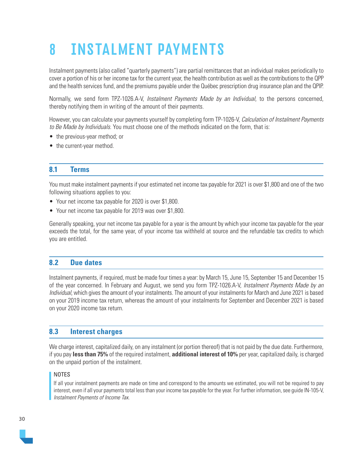## <span id="page-29-0"></span>8 INSTALMENT PAYMENTS

Instalment payments (also called "quarterly payments") are partial remittances that an individual makes periodically to cover a portion of his or her income tax for the current year, the health contribution as well as the contributions to the QPP and the health services fund, and the premiums payable under the Québec prescription drug insurance plan and the QPIP.

Normally, we send form TPZ-1026.A-V, *Instalment Payments Made by an Individual*, to the persons concerned, thereby notifying them in writing of the amount of their payments.

However, you can calculate your payments yourself by completing form TP-1026-V, Calculation of Instalment Payments to Be Made by Individuals. You must choose one of the methods indicated on the form, that is:

- the previous-year method; or
- the current-year method.

## **8.1 Terms**

You must make instalment payments if your estimated net income tax payable for 2021 is over \$1,800 and one of the two following situations applies to you:

- Your net income tax payable for 2020 is over \$1,800.
- Your net income tax payable for 2019 was over \$1,800.

Generally speaking, your net income tax payable for a year is the amount by which your income tax payable for the year exceeds the total, for the same year, of your income tax withheld at source and the refundable tax credits to which you are entitled.

## **8.2 Due dates**

Instalment payments, if required, must be made four times a year: by March 15, June 15, September 15 and December 15 of the year concerned. In February and August, we send you form TPZ-1026.A-V, Instalment Payments Made by an Individual, which gives the amount of your instalments. The amount of your instalments for March and June 2021 is based on your 2019 income tax return, whereas the amount of your instalments for September and December 2021 is based on your 2020 income tax return.

## **8.3 Interest charges**

We charge interest, capitalized daily, on any instalment (or portion thereof) that is not paid by the due date. Furthermore, if you pay **less than 75%** of the required instalment, **additional interest of 10%** per year, capitalized daily, is charged on the unpaid portion of the instalment.

#### NOTES

If all your instalment payments are made on time and correspond to the amounts we estimated, you will not be required to pay interest, even if all your payments total less than your income tax payable for the year. For further information, see guide IN-105-V, Instalment Payments of Income Tax.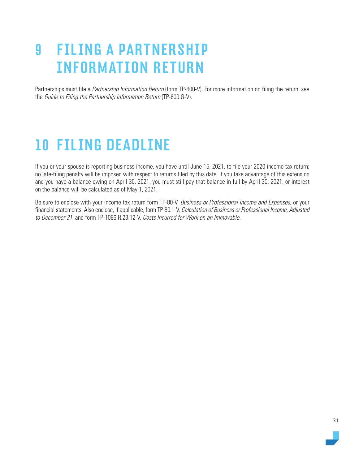## <span id="page-30-0"></span>9 FILING A PARTNERSHIP INFORMATION RETURN

Partnerships must file a Partnership Information Return (form TP-600-V). For more information on filing the return, see the Guide to Filing the Partnership Information Return (TP-600.G-V).

## 10 FILING DEADLINE

If you or your spouse is reporting business income, you have until June 15, 2021, to file your 2020 income tax return; no late-filing penalty will be imposed with respect to returns filed by this date. If you take advantage of this extension and you have a balance owing on April 30, 2021, you must still pay that balance in full by April 30, 2021, or interest on the balance will be calculated as of May 1, 2021.

Be sure to enclose with your income tax return form TP-80-V, Business or Professional Income and Expenses, or your financial statements. Also enclose, if applicable, form TP-80.1-V, Calculation of Business or Professional Income, Adjusted to December 31, and form TP-1086.R.23.12-V, Costs Incurred for Work on an Immovable.